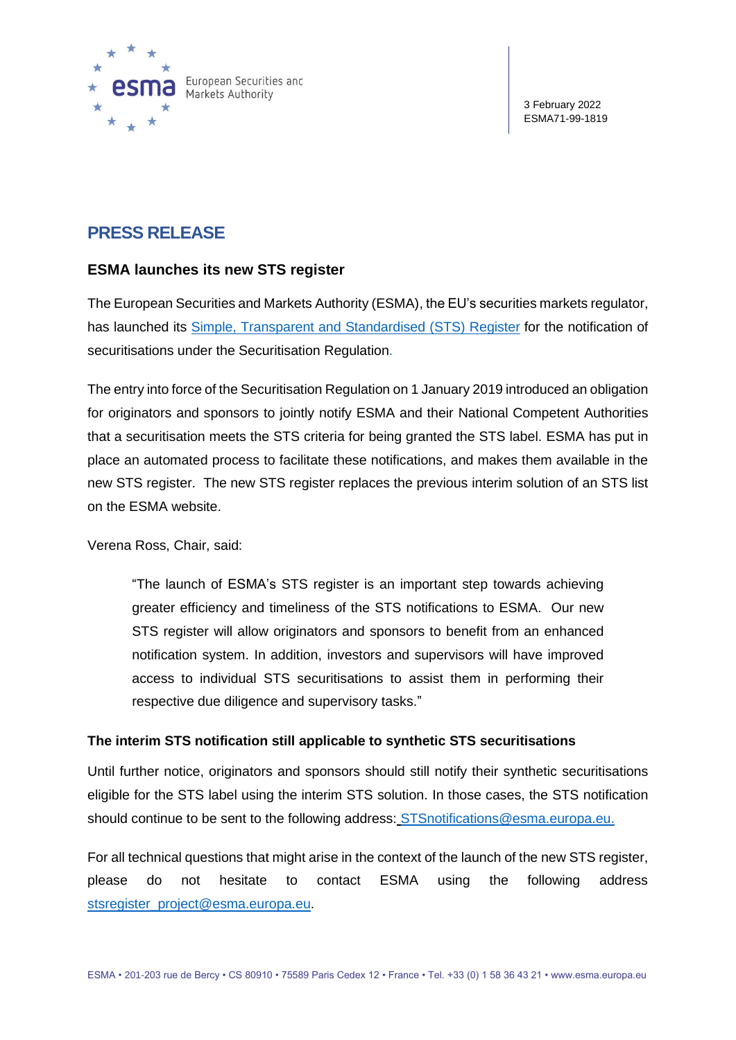

3 February 2022 ESMA71-99-1819

# **PRESS RELEASE**

## **ESMA launches its new STS register**

The European Securities and Markets Authority (ESMA), the EU's securities markets regulator, has launched its [Simple, Transparent and Standardised \(STS\) Register](https://registers.esma.europa.eu/publication/searchRegister?core=esma_registers_stsre) for the notification of securitisations under the Securitisation Regulation.

The entry into force of the Securitisation Regulation on 1 January 2019 introduced an obligation for originators and sponsors to jointly notify ESMA and their National Competent Authorities that a securitisation meets the STS criteria for being granted the STS label. ESMA has put in place an automated process to facilitate these notifications, and makes them available in the new STS register. The new STS register replaces the previous interim solution of an STS list on the ESMA website.

Verena Ross, Chair, said:

"The launch of ESMA's STS register is an important step towards achieving greater efficiency and timeliness of the STS notifications to ESMA. Our new STS register will allow originators and sponsors to benefit from an enhanced notification system. In addition, investors and supervisors will have improved access to individual STS securitisations to assist them in performing their respective due diligence and supervisory tasks."

## **The interim STS notification still applicable to synthetic STS securitisations**

Until further notice, originators and sponsors should still notify their synthetic securitisations eligible for the STS label using the interim STS solution. In those cases, the STS notification should continue to be sent to the following address: [STSnotifications@esma.europa.eu.](mailto:STSnotifications@esma.europa.eu)

For all technical questions that might arise in the context of the launch of the new STS register, please do not hesitate to contact ESMA using the following address [stsregister\\_project@esma.europa.eu.](mailto:stsregister_project@esma.europa.eu)